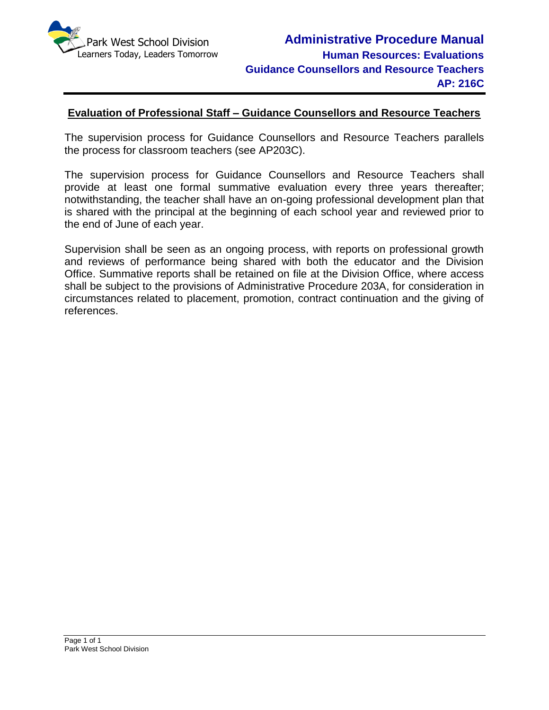

#### **Evaluation of Professional Staff – Guidance Counsellors and Resource Teachers**

The supervision process for Guidance Counsellors and Resource Teachers parallels the process for classroom teachers (see AP203C).

The supervision process for Guidance Counsellors and Resource Teachers shall provide at least one formal summative evaluation every three years thereafter; notwithstanding, the teacher shall have an on-going professional development plan that is shared with the principal at the beginning of each school year and reviewed prior to the end of June of each year.

Supervision shall be seen as an ongoing process, with reports on professional growth and reviews of performance being shared with both the educator and the Division Office. Summative reports shall be retained on file at the Division Office, where access shall be subject to the provisions of Administrative Procedure 203A, for consideration in circumstances related to placement, promotion, contract continuation and the giving of references.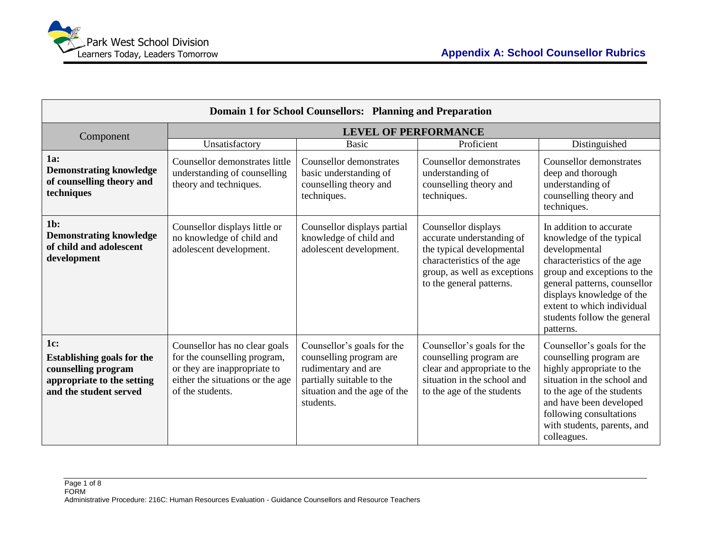

| <b>Domain 1 for School Counsellors: Planning and Preparation</b>                                                        |                                                                                                                                                       |                                                                                                                                                        |                                                                                                                                                                         |                                                                                                                                                                                                                                                                          |
|-------------------------------------------------------------------------------------------------------------------------|-------------------------------------------------------------------------------------------------------------------------------------------------------|--------------------------------------------------------------------------------------------------------------------------------------------------------|-------------------------------------------------------------------------------------------------------------------------------------------------------------------------|--------------------------------------------------------------------------------------------------------------------------------------------------------------------------------------------------------------------------------------------------------------------------|
| Component                                                                                                               |                                                                                                                                                       | <b>LEVEL OF PERFORMANCE</b>                                                                                                                            |                                                                                                                                                                         |                                                                                                                                                                                                                                                                          |
|                                                                                                                         | Unsatisfactory                                                                                                                                        | <b>Basic</b>                                                                                                                                           | Proficient                                                                                                                                                              | Distinguished                                                                                                                                                                                                                                                            |
| 1a:<br><b>Demonstrating knowledge</b><br>of counselling theory and<br>techniques                                        | Counsellor demonstrates little<br>understanding of counselling<br>theory and techniques.                                                              | Counsellor demonstrates<br>basic understanding of<br>counselling theory and<br>techniques.                                                             | Counsellor demonstrates<br>understanding of<br>counselling theory and<br>techniques.                                                                                    | <b>Counsellor</b> demonstrates<br>deep and thorough<br>understanding of<br>counselling theory and<br>techniques.                                                                                                                                                         |
| $1b$ :<br><b>Demonstrating knowledge</b><br>of child and adolescent<br>development                                      | Counsellor displays little or<br>no knowledge of child and<br>adolescent development.                                                                 | Counsellor displays partial<br>knowledge of child and<br>adolescent development.                                                                       | Counsellor displays<br>accurate understanding of<br>the typical developmental<br>characteristics of the age<br>group, as well as exceptions<br>to the general patterns. | In addition to accurate<br>knowledge of the typical<br>developmental<br>characteristics of the age<br>group and exceptions to the<br>general patterns, counsellor<br>displays knowledge of the<br>extent to which individual<br>students follow the general<br>patterns. |
| 1c:<br><b>Establishing goals for the</b><br>counselling program<br>appropriate to the setting<br>and the student served | Counsellor has no clear goals<br>for the counselling program,<br>or they are inappropriate to<br>either the situations or the age<br>of the students. | Counsellor's goals for the<br>counselling program are<br>rudimentary and are<br>partially suitable to the<br>situation and the age of the<br>students. | Counsellor's goals for the<br>counselling program are<br>clear and appropriate to the<br>situation in the school and<br>to the age of the students                      | Counsellor's goals for the<br>counselling program are<br>highly appropriate to the<br>situation in the school and<br>to the age of the students<br>and have been developed<br>following consultations<br>with students, parents, and<br>colleagues.                      |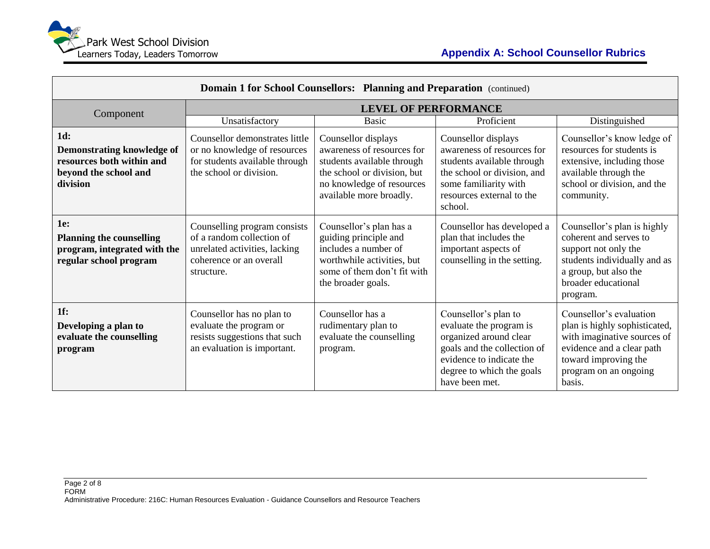

| <b>Domain 1 for School Counsellors: Planning and Preparation</b> (continued)                               |                                                                                                                                     |                                                                                                                                                                        |                                                                                                                                                                                     |                                                                                                                                                                                 |
|------------------------------------------------------------------------------------------------------------|-------------------------------------------------------------------------------------------------------------------------------------|------------------------------------------------------------------------------------------------------------------------------------------------------------------------|-------------------------------------------------------------------------------------------------------------------------------------------------------------------------------------|---------------------------------------------------------------------------------------------------------------------------------------------------------------------------------|
| Component                                                                                                  |                                                                                                                                     | <b>LEVEL OF PERFORMANCE</b>                                                                                                                                            |                                                                                                                                                                                     |                                                                                                                                                                                 |
|                                                                                                            | Unsatisfactory                                                                                                                      | <b>Basic</b>                                                                                                                                                           | Proficient                                                                                                                                                                          | Distinguished                                                                                                                                                                   |
| 1d:<br><b>Demonstrating knowledge of</b><br>resources both within and<br>beyond the school and<br>division | Counsellor demonstrates little<br>or no knowledge of resources<br>for students available through<br>the school or division.         | Counsellor displays<br>awareness of resources for<br>students available through<br>the school or division, but<br>no knowledge of resources<br>available more broadly. | Counsellor displays<br>awareness of resources for<br>students available through<br>the school or division, and<br>some familiarity with<br>resources external to the<br>school.     | Counsellor's know ledge of<br>resources for students is<br>extensive, including those<br>available through the<br>school or division, and the<br>community.                     |
| <b>1e:</b><br><b>Planning the counselling</b><br>program, integrated with the<br>regular school program    | Counselling program consists<br>of a random collection of<br>unrelated activities, lacking<br>coherence or an overall<br>structure. | Counsellor's plan has a<br>guiding principle and<br>includes a number of<br>worthwhile activities, but<br>some of them don't fit with<br>the broader goals.            | Counsellor has developed a<br>plan that includes the<br>important aspects of<br>counselling in the setting.                                                                         | Counsellor's plan is highly<br>coherent and serves to<br>support not only the<br>students individually and as<br>a group, but also the<br>broader educational<br>program.       |
| $1f$ :<br>Developing a plan to<br>evaluate the counselling<br>program                                      | Counsellor has no plan to<br>evaluate the program or<br>resists suggestions that such<br>an evaluation is important.                | Counsellor has a<br>rudimentary plan to<br>evaluate the counselling<br>program.                                                                                        | Counsellor's plan to<br>evaluate the program is<br>organized around clear<br>goals and the collection of<br>evidence to indicate the<br>degree to which the goals<br>have been met. | Counsellor's evaluation<br>plan is highly sophisticated,<br>with imaginative sources of<br>evidence and a clear path<br>toward improving the<br>program on an ongoing<br>basis. |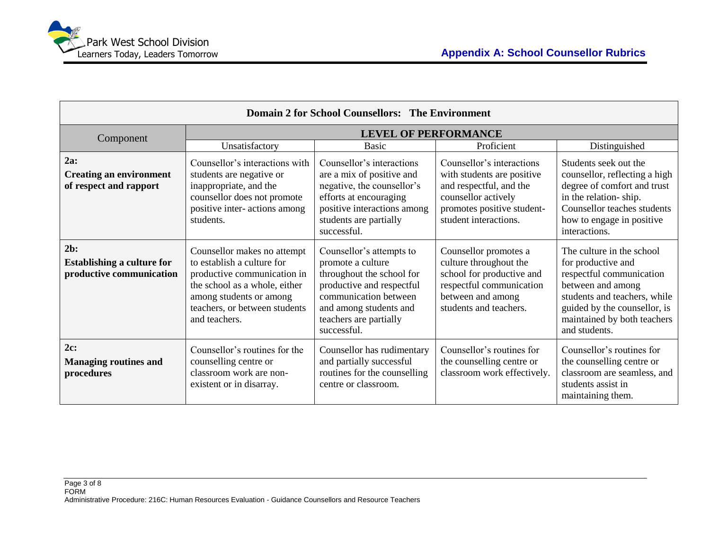| <b>Domain 2 for School Counsellors: The Environment</b>                 |                                                                                                                                                                                                        |                                                                                                                                                                                                     |                                                                                                                                                                  |                                                                                                                                                                                                                  |
|-------------------------------------------------------------------------|--------------------------------------------------------------------------------------------------------------------------------------------------------------------------------------------------------|-----------------------------------------------------------------------------------------------------------------------------------------------------------------------------------------------------|------------------------------------------------------------------------------------------------------------------------------------------------------------------|------------------------------------------------------------------------------------------------------------------------------------------------------------------------------------------------------------------|
| Component                                                               |                                                                                                                                                                                                        | <b>LEVEL OF PERFORMANCE</b>                                                                                                                                                                         |                                                                                                                                                                  |                                                                                                                                                                                                                  |
|                                                                         | Unsatisfactory                                                                                                                                                                                         | <b>Basic</b>                                                                                                                                                                                        | Proficient                                                                                                                                                       | Distinguished                                                                                                                                                                                                    |
| 2a:<br><b>Creating an environment</b><br>of respect and rapport         | Counsellor's interactions with<br>students are negative or<br>inappropriate, and the<br>counsellor does not promote<br>positive inter-actions among<br>students.                                       | Counsellor's interactions<br>are a mix of positive and<br>negative, the counsellor's<br>efforts at encouraging<br>positive interactions among<br>students are partially<br>successful.              | Counsellor's interactions<br>with students are positive<br>and respectful, and the<br>counsellor actively<br>promotes positive student-<br>student interactions. | Students seek out the<br>counsellor, reflecting a high<br>degree of comfort and trust<br>in the relation-ship.<br>Counsellor teaches students<br>how to engage in positive<br>interactions.                      |
| $2b$ :<br><b>Establishing a culture for</b><br>productive communication | Counsellor makes no attempt<br>to establish a culture for<br>productive communication in<br>the school as a whole, either<br>among students or among<br>teachers, or between students<br>and teachers. | Counsellor's attempts to<br>promote a culture<br>throughout the school for<br>productive and respectful<br>communication between<br>and among students and<br>teachers are partially<br>successful. | Counsellor promotes a<br>culture throughout the<br>school for productive and<br>respectful communication<br>between and among<br>students and teachers.          | The culture in the school<br>for productive and<br>respectful communication<br>between and among<br>students and teachers, while<br>guided by the counsellor, is<br>maintained by both teachers<br>and students. |
| 2c:<br><b>Managing routines and</b><br>procedures                       | Counsellor's routines for the<br>counselling centre or<br>classroom work are non-<br>existent or in disarray.                                                                                          | Counsellor has rudimentary<br>and partially successful<br>routines for the counselling<br>centre or classroom.                                                                                      | Counsellor's routines for<br>the counselling centre or<br>classroom work effectively.                                                                            | Counsellor's routines for<br>the counselling centre or<br>classroom are seamless, and<br>students assist in<br>maintaining them.                                                                                 |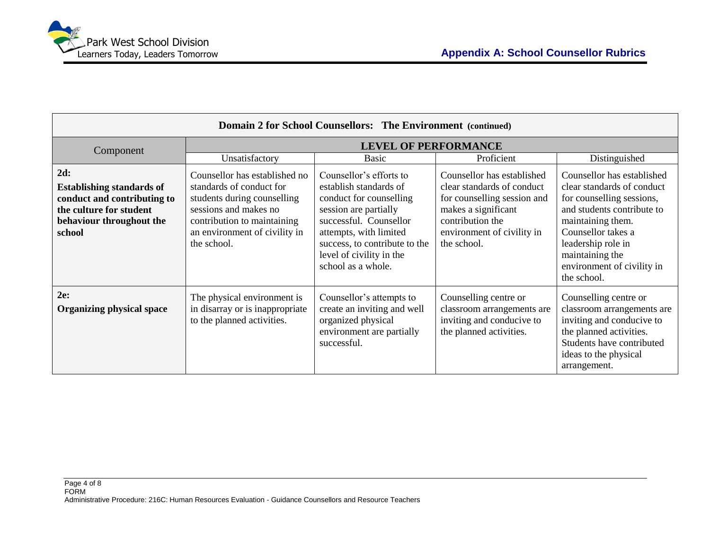

| <b>Domain 2 for School Counsellors: The Environment (continued)</b>                                                                     |                                                                                                                                                                                                  |                                                                                                                                                                                                                                              |                                                                                                                                                                                 |                                                                                                                                                                                                                                                      |
|-----------------------------------------------------------------------------------------------------------------------------------------|--------------------------------------------------------------------------------------------------------------------------------------------------------------------------------------------------|----------------------------------------------------------------------------------------------------------------------------------------------------------------------------------------------------------------------------------------------|---------------------------------------------------------------------------------------------------------------------------------------------------------------------------------|------------------------------------------------------------------------------------------------------------------------------------------------------------------------------------------------------------------------------------------------------|
| Component                                                                                                                               |                                                                                                                                                                                                  | <b>LEVEL OF PERFORMANCE</b>                                                                                                                                                                                                                  |                                                                                                                                                                                 |                                                                                                                                                                                                                                                      |
|                                                                                                                                         | Unsatisfactory                                                                                                                                                                                   | <b>Basic</b>                                                                                                                                                                                                                                 | Proficient                                                                                                                                                                      | Distinguished                                                                                                                                                                                                                                        |
| 2d:<br><b>Establishing standards of</b><br>conduct and contributing to<br>the culture for student<br>behaviour throughout the<br>school | Counsellor has established no<br>standards of conduct for<br>students during counselling<br>sessions and makes no<br>contribution to maintaining<br>an environment of civility in<br>the school. | Counsellor's efforts to<br>establish standards of<br>conduct for counselling<br>session are partially<br>successful. Counsellor<br>attempts, with limited<br>success, to contribute to the<br>level of civility in the<br>school as a whole. | Counsellor has established<br>clear standards of conduct<br>for counselling session and<br>makes a significant<br>contribution the<br>environment of civility in<br>the school. | Counsellor has established<br>clear standards of conduct<br>for counselling sessions,<br>and students contribute to<br>maintaining them.<br>Counsellor takes a<br>leadership role in<br>maintaining the<br>environment of civility in<br>the school. |
| 2e:<br><b>Organizing physical space</b>                                                                                                 | The physical environment is<br>in disarray or is inappropriate<br>to the planned activities.                                                                                                     | Counsellor's attempts to<br>create an inviting and well<br>organized physical<br>environment are partially<br>successful.                                                                                                                    | Counselling centre or<br>classroom arrangements are<br>inviting and conducive to<br>the planned activities.                                                                     | Counselling centre or<br>classroom arrangements are<br>inviting and conducive to<br>the planned activities.<br>Students have contributed<br>ideas to the physical<br>arrangement.                                                                    |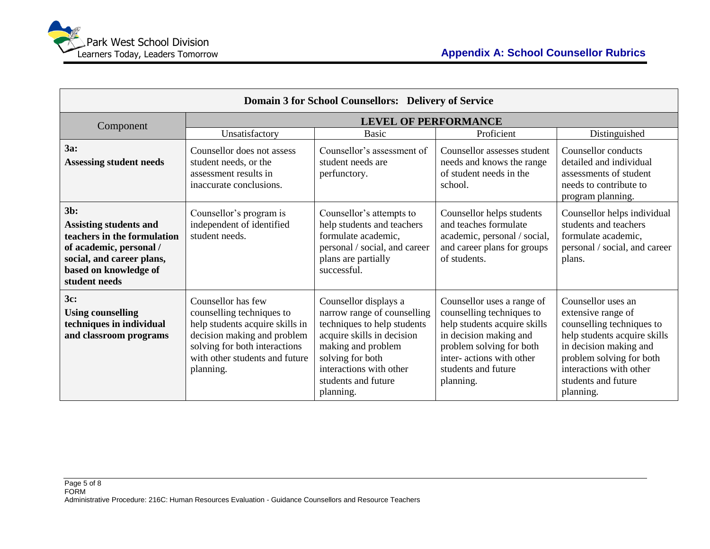| Domain 3 for School Counsellors: Delivery of Service                                                                                                                     |                                                                                                                                                                                                   |                                                                                                                                                                                                                            |                                                                                                                                                                                                                |                                                                                                                                                                                                                            |
|--------------------------------------------------------------------------------------------------------------------------------------------------------------------------|---------------------------------------------------------------------------------------------------------------------------------------------------------------------------------------------------|----------------------------------------------------------------------------------------------------------------------------------------------------------------------------------------------------------------------------|----------------------------------------------------------------------------------------------------------------------------------------------------------------------------------------------------------------|----------------------------------------------------------------------------------------------------------------------------------------------------------------------------------------------------------------------------|
| Component                                                                                                                                                                |                                                                                                                                                                                                   | <b>LEVEL OF PERFORMANCE</b>                                                                                                                                                                                                |                                                                                                                                                                                                                |                                                                                                                                                                                                                            |
|                                                                                                                                                                          | Unsatisfactory                                                                                                                                                                                    | <b>Basic</b>                                                                                                                                                                                                               | Proficient                                                                                                                                                                                                     | Distinguished                                                                                                                                                                                                              |
| 3a:<br><b>Assessing student needs</b>                                                                                                                                    | Counsellor does not assess<br>student needs, or the<br>assessment results in<br>inaccurate conclusions.                                                                                           | Counsellor's assessment of<br>student needs are<br>perfunctory.                                                                                                                                                            | Counsellor assesses student<br>needs and knows the range<br>of student needs in the<br>school.                                                                                                                 | Counsellor conducts<br>detailed and individual<br>assessments of student<br>needs to contribute to<br>program planning.                                                                                                    |
| $3b$ :<br><b>Assisting students and</b><br>teachers in the formulation<br>of academic, personal /<br>social, and career plans,<br>based on knowledge of<br>student needs | Counsellor's program is<br>independent of identified<br>student needs.                                                                                                                            | Counsellor's attempts to<br>help students and teachers<br>formulate academic,<br>personal / social, and career<br>plans are partially<br>successful.                                                                       | Counsellor helps students<br>and teaches formulate<br>academic, personal / social,<br>and career plans for groups<br>of students.                                                                              | Counsellor helps individual<br>students and teachers<br>formulate academic,<br>personal / social, and career<br>plans.                                                                                                     |
| 3c:<br><b>Using counselling</b><br>techniques in individual<br>and classroom programs                                                                                    | Counsellor has few<br>counselling techniques to<br>help students acquire skills in<br>decision making and problem<br>solving for both interactions<br>with other students and future<br>planning. | Counsellor displays a<br>narrow range of counselling<br>techniques to help students<br>acquire skills in decision<br>making and problem<br>solving for both<br>interactions with other<br>students and future<br>planning. | Counsellor uses a range of<br>counselling techniques to<br>help students acquire skills<br>in decision making and<br>problem solving for both<br>inter- actions with other<br>students and future<br>planning. | Counsellor uses an<br>extensive range of<br>counselling techniques to<br>help students acquire skills<br>in decision making and<br>problem solving for both<br>interactions with other<br>students and future<br>planning. |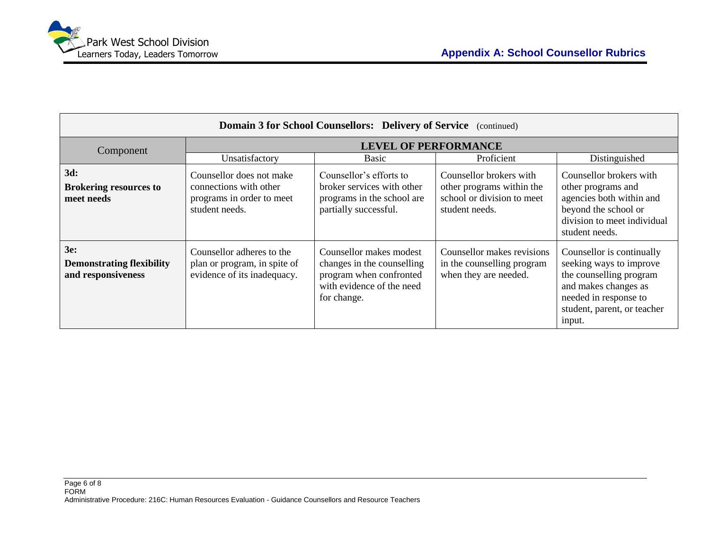

| <b>Domain 3 for School Counsellors: Delivery of Service</b> (continued) |                                                                                                   |                                                                                                                              |                                                                                                      |                                                                                                                                                                           |
|-------------------------------------------------------------------------|---------------------------------------------------------------------------------------------------|------------------------------------------------------------------------------------------------------------------------------|------------------------------------------------------------------------------------------------------|---------------------------------------------------------------------------------------------------------------------------------------------------------------------------|
| Component                                                               |                                                                                                   | <b>LEVEL OF PERFORMANCE</b>                                                                                                  |                                                                                                      |                                                                                                                                                                           |
|                                                                         | Unsatisfactory                                                                                    | <b>Basic</b>                                                                                                                 | Proficient                                                                                           | Distinguished                                                                                                                                                             |
| 3d:<br><b>Brokering resources to</b><br>meet needs                      | Counsellor does not make<br>connections with other<br>programs in order to meet<br>student needs. | Counsellor's efforts to<br>broker services with other<br>programs in the school are<br>partially successful.                 | Counsellor brokers with<br>other programs within the<br>school or division to meet<br>student needs. | Counsellor brokers with<br>other programs and<br>agencies both within and<br>beyond the school or<br>division to meet individual<br>student needs.                        |
| 3e:<br><b>Demonstrating flexibility</b><br>and responsiveness           | Counsellor adheres to the<br>plan or program, in spite of<br>evidence of its inadequacy.          | Counsellor makes modest<br>changes in the counselling<br>program when confronted<br>with evidence of the need<br>for change. | Counsellor makes revisions<br>in the counselling program<br>when they are needed.                    | Counsellor is continually<br>seeking ways to improve<br>the counselling program<br>and makes changes as<br>needed in response to<br>student, parent, or teacher<br>input. |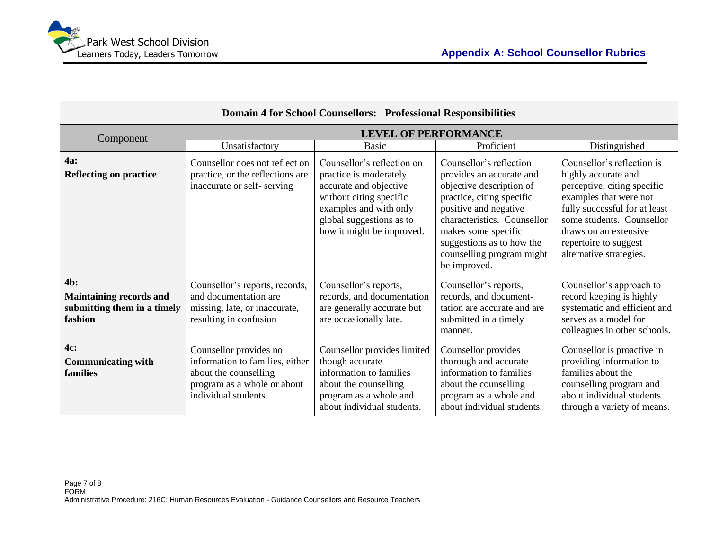| <b>Domain 4 for School Counsellors: Professional Responsibilities</b>           |                                                                                                                                           |                                                                                                                                                                                              |                                                                                                                                                                                                                                                                       |                                                                                                                                                                                                                                                       |
|---------------------------------------------------------------------------------|-------------------------------------------------------------------------------------------------------------------------------------------|----------------------------------------------------------------------------------------------------------------------------------------------------------------------------------------------|-----------------------------------------------------------------------------------------------------------------------------------------------------------------------------------------------------------------------------------------------------------------------|-------------------------------------------------------------------------------------------------------------------------------------------------------------------------------------------------------------------------------------------------------|
| Component                                                                       |                                                                                                                                           | <b>LEVEL OF PERFORMANCE</b>                                                                                                                                                                  |                                                                                                                                                                                                                                                                       |                                                                                                                                                                                                                                                       |
|                                                                                 | Unsatisfactory                                                                                                                            | <b>Basic</b>                                                                                                                                                                                 | Proficient                                                                                                                                                                                                                                                            | Distinguished                                                                                                                                                                                                                                         |
| <b>4a:</b><br><b>Reflecting on practice</b>                                     | Counsellor does not reflect on<br>practice, or the reflections are<br>inaccurate or self-serving                                          | Counsellor's reflection on<br>practice is moderately<br>accurate and objective<br>without citing specific<br>examples and with only<br>global suggestions as to<br>how it might be improved. | Counsellor's reflection<br>provides an accurate and<br>objective description of<br>practice, citing specific<br>positive and negative<br>characteristics. Counsellor<br>makes some specific<br>suggestions as to how the<br>counselling program might<br>be improved. | Counsellor's reflection is<br>highly accurate and<br>perceptive, citing specific<br>examples that were not<br>fully successful for at least<br>some students. Counsellor<br>draws on an extensive<br>repertoire to suggest<br>alternative strategies. |
| 4b:<br><b>Maintaining records and</b><br>submitting them in a timely<br>fashion | Counsellor's reports, records,<br>and documentation are<br>missing, late, or inaccurate,<br>resulting in confusion                        | Counsellor's reports,<br>records, and documentation<br>are generally accurate but<br>are occasionally late.                                                                                  | Counsellor's reports,<br>records, and document-<br>tation are accurate and are<br>submitted in a timely<br>manner.                                                                                                                                                    | Counsellor's approach to<br>record keeping is highly<br>systematic and efficient and<br>serves as a model for<br>colleagues in other schools.                                                                                                         |
| 4c:<br><b>Communicating with</b><br>families                                    | Counsellor provides no<br>information to families, either<br>about the counselling<br>program as a whole or about<br>individual students. | Counsellor provides limited<br>though accurate<br>information to families<br>about the counselling<br>program as a whole and<br>about individual students.                                   | Counsellor provides<br>thorough and accurate<br>information to families<br>about the counselling<br>program as a whole and<br>about individual students.                                                                                                              | Counsellor is proactive in<br>providing information to<br>families about the<br>counselling program and<br>about individual students<br>through a variety of means.                                                                                   |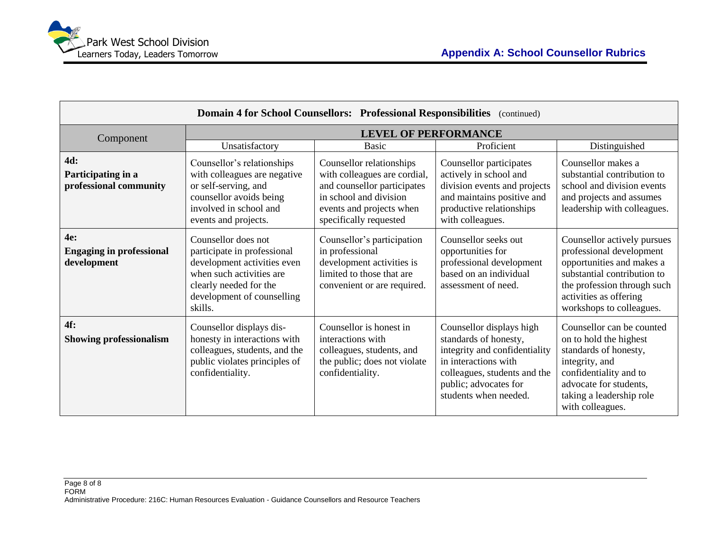| Domain 4 for School Counsellors: Professional Responsibilities<br>(continued) |                                                                                                                                                                                  |                                                                                                                                                                         |                                                                                                                                                                                              |                                                                                                                                                                                                          |
|-------------------------------------------------------------------------------|----------------------------------------------------------------------------------------------------------------------------------------------------------------------------------|-------------------------------------------------------------------------------------------------------------------------------------------------------------------------|----------------------------------------------------------------------------------------------------------------------------------------------------------------------------------------------|----------------------------------------------------------------------------------------------------------------------------------------------------------------------------------------------------------|
| Component                                                                     |                                                                                                                                                                                  | <b>LEVEL OF PERFORMANCE</b>                                                                                                                                             |                                                                                                                                                                                              |                                                                                                                                                                                                          |
|                                                                               | Unsatisfactory                                                                                                                                                                   | <b>Basic</b>                                                                                                                                                            | Proficient                                                                                                                                                                                   | Distinguished                                                                                                                                                                                            |
| 4d:<br>Participating in a<br>professional community                           | Counsellor's relationships<br>with colleagues are negative<br>or self-serving, and<br>counsellor avoids being<br>involved in school and<br>events and projects.                  | Counsellor relationships<br>with colleagues are cordial,<br>and counsellor participates<br>in school and division<br>events and projects when<br>specifically requested | Counsellor participates<br>actively in school and<br>division events and projects<br>and maintains positive and<br>productive relationships<br>with colleagues.                              | Counsellor makes a<br>substantial contribution to<br>school and division events<br>and projects and assumes<br>leadership with colleagues.                                                               |
| 4e:<br><b>Engaging in professional</b><br>development                         | Counsellor does not<br>participate in professional<br>development activities even<br>when such activities are<br>clearly needed for the<br>development of counselling<br>skills. | Counsellor's participation<br>in professional<br>development activities is<br>limited to those that are<br>convenient or are required.                                  | Counsellor seeks out<br>opportunities for<br>professional development<br>based on an individual<br>assessment of need.                                                                       | Counsellor actively pursues<br>professional development<br>opportunities and makes a<br>substantial contribution to<br>the profession through such<br>activities as offering<br>workshops to colleagues. |
| $4f$ :<br><b>Showing professionalism</b>                                      | Counsellor displays dis-<br>honesty in interactions with<br>colleagues, students, and the<br>public violates principles of<br>confidentiality.                                   | Counsellor is honest in<br>interactions with<br>colleagues, students, and<br>the public; does not violate<br>confidentiality.                                           | Counsellor displays high<br>standards of honesty,<br>integrity and confidentiality<br>in interactions with<br>colleagues, students and the<br>public; advocates for<br>students when needed. | Counsellor can be counted<br>on to hold the highest<br>standards of honesty,<br>integrity, and<br>confidentiality and to<br>advocate for students,<br>taking a leadership role<br>with colleagues.       |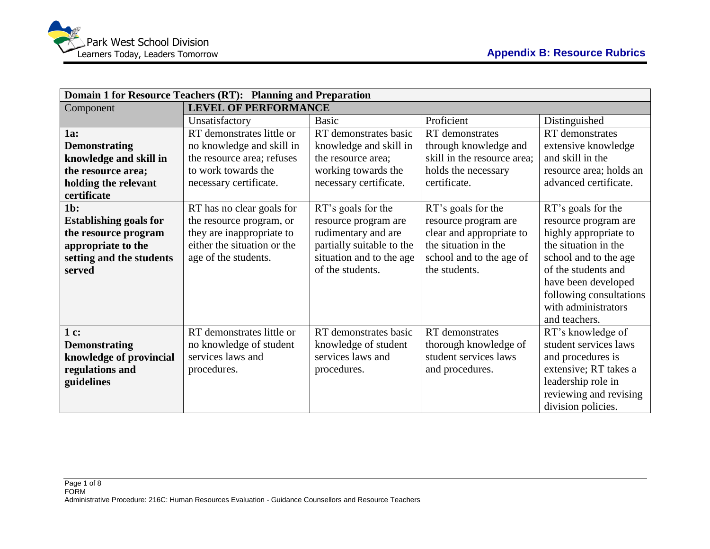|                               | Domain 1 for Resource Teachers (RT): Planning and Preparation |                           |                             |                         |
|-------------------------------|---------------------------------------------------------------|---------------------------|-----------------------------|-------------------------|
| Component                     | <b>LEVEL OF PERFORMANCE</b>                                   |                           |                             |                         |
|                               | Unsatisfactory                                                | <b>Basic</b>              | Proficient                  | Distinguished           |
| 1a:                           | RT demonstrates little or                                     | RT demonstrates basic     | RT demonstrates             | <b>RT</b> demonstrates  |
| <b>Demonstrating</b>          | no knowledge and skill in                                     | knowledge and skill in    | through knowledge and       | extensive knowledge     |
| knowledge and skill in        | the resource area; refuses                                    | the resource area;        | skill in the resource area; | and skill in the        |
| the resource area;            | to work towards the                                           | working towards the       | holds the necessary         | resource area; holds an |
| holding the relevant          | necessary certificate.                                        | necessary certificate.    | certificate.                | advanced certificate.   |
| certificate                   |                                                               |                           |                             |                         |
| $1b$ :                        | RT has no clear goals for                                     | RT's goals for the        | RT's goals for the          | RT's goals for the      |
| <b>Establishing goals for</b> | the resource program, or                                      | resource program are      | resource program are        | resource program are    |
| the resource program          | they are inappropriate to                                     | rudimentary and are       | clear and appropriate to    | highly appropriate to   |
| appropriate to the            | either the situation or the                                   | partially suitable to the | the situation in the        | the situation in the    |
| setting and the students      | age of the students.                                          | situation and to the age  | school and to the age of    | school and to the age   |
| served                        |                                                               | of the students.          | the students.               | of the students and     |
|                               |                                                               |                           |                             | have been developed     |
|                               |                                                               |                           |                             | following consultations |
|                               |                                                               |                           |                             | with administrators     |
|                               |                                                               |                           |                             | and teachers.           |
| $1c$ :                        | RT demonstrates little or                                     | RT demonstrates basic     | RT demonstrates             | RT's knowledge of       |
| <b>Demonstrating</b>          | no knowledge of student                                       | knowledge of student      | thorough knowledge of       | student services laws   |
| knowledge of provincial       | services laws and                                             | services laws and         | student services laws       | and procedures is       |
| regulations and               | procedures.                                                   | procedures.               | and procedures.             | extensive; RT takes a   |
| guidelines                    |                                                               |                           |                             | leadership role in      |
|                               |                                                               |                           |                             | reviewing and revising  |
|                               |                                                               |                           |                             | division policies.      |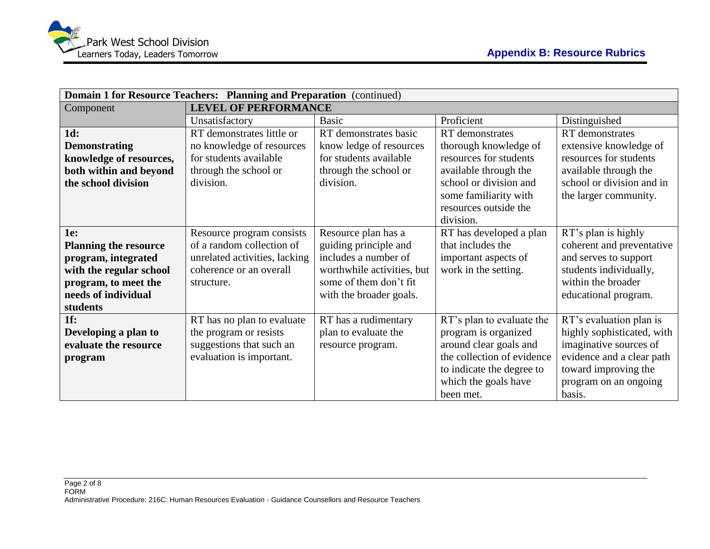|                              | Domain 1 for Resource Teachers: Planning and Preparation (continued) |                            |                            |                            |
|------------------------------|----------------------------------------------------------------------|----------------------------|----------------------------|----------------------------|
| Component                    | <b>LEVEL OF PERFORMANCE</b>                                          |                            |                            |                            |
|                              | Unsatisfactory                                                       | <b>Basic</b>               | Proficient                 | Distinguished              |
| 1d:                          | RT demonstrates little or                                            | RT demonstrates basic      | RT demonstrates            | RT demonstrates            |
| <b>Demonstrating</b>         | no knowledge of resources                                            | know ledge of resources    | thorough knowledge of      | extensive knowledge of     |
| knowledge of resources,      | for students available                                               | for students available     | resources for students     | resources for students     |
| both within and beyond       | through the school or                                                | through the school or      | available through the      | available through the      |
| the school division          | division.                                                            | division.                  | school or division and     | school or division and in  |
|                              |                                                                      |                            | some familiarity with      | the larger community.      |
|                              |                                                                      |                            | resources outside the      |                            |
|                              |                                                                      |                            | division.                  |                            |
| 1e:                          | Resource program consists                                            | Resource plan has a        | RT has developed a plan    | RT's plan is highly        |
| <b>Planning the resource</b> | of a random collection of                                            | guiding principle and      | that includes the          | coherent and preventative  |
| program, integrated          | unrelated activities, lacking                                        | includes a number of       | important aspects of       | and serves to support      |
| with the regular school      | coherence or an overall                                              | worthwhile activities, but | work in the setting.       | students individually,     |
| program, to meet the         | structure.                                                           | some of them don't fit     |                            | within the broader         |
| needs of individual          |                                                                      | with the broader goals.    |                            | educational program.       |
| students                     |                                                                      |                            |                            |                            |
| 1f:                          | RT has no plan to evaluate                                           | RT has a rudimentary       | RT's plan to evaluate the  | RT's evaluation plan is    |
| Developing a plan to         | the program or resists                                               | plan to evaluate the       | program is organized       | highly sophisticated, with |
| evaluate the resource        | suggestions that such an                                             | resource program.          | around clear goals and     | imaginative sources of     |
| program                      | evaluation is important.                                             |                            | the collection of evidence | evidence and a clear path  |
|                              |                                                                      |                            | to indicate the degree to  | toward improving the       |
|                              |                                                                      |                            | which the goals have       | program on an ongoing      |
|                              |                                                                      |                            | been met.                  | basis.                     |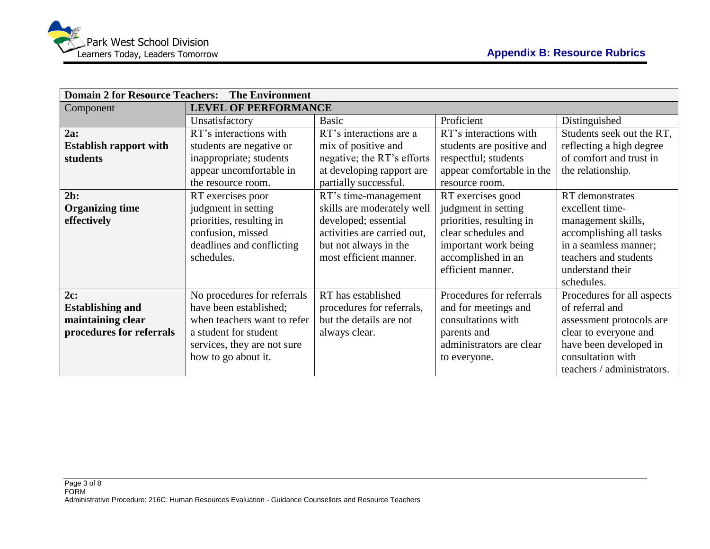| <b>Domain 2 for Resource Teachers:</b><br><b>The Environment</b> |                             |                             |                           |                            |
|------------------------------------------------------------------|-----------------------------|-----------------------------|---------------------------|----------------------------|
| Component                                                        | <b>LEVEL OF PERFORMANCE</b> |                             |                           |                            |
|                                                                  | Unsatisfactory              | <b>Basic</b>                | Proficient                | Distinguished              |
| 2a:                                                              | RT's interactions with      | RT's interactions are a     | RT's interactions with    | Students seek out the RT,  |
| <b>Establish rapport with</b>                                    | students are negative or    | mix of positive and         | students are positive and | reflecting a high degree   |
| students                                                         | inappropriate; students     | negative; the RT's efforts  | respectful; students      | of comfort and trust in    |
|                                                                  | appear uncomfortable in     | at developing rapport are   | appear comfortable in the | the relationship.          |
|                                                                  | the resource room.          | partially successful.       | resource room.            |                            |
| $2b$ :                                                           | RT exercises poor           | RT's time-management        | RT exercises good         | RT demonstrates            |
| <b>Organizing time</b>                                           | judgment in setting         | skills are moderately well  | judgment in setting       | excellent time-            |
| effectively                                                      | priorities, resulting in    | developed; essential        | priorities, resulting in  | management skills,         |
|                                                                  | confusion, missed           | activities are carried out, | clear schedules and       | accomplishing all tasks    |
|                                                                  | deadlines and conflicting   | but not always in the       | important work being      | in a seamless manner;      |
|                                                                  | schedules.                  | most efficient manner.      | accomplished in an        | teachers and students      |
|                                                                  |                             |                             | efficient manner.         | understand their           |
|                                                                  |                             |                             |                           | schedules.                 |
| 2c:                                                              | No procedures for referrals | RT has established          | Procedures for referrals  | Procedures for all aspects |
| <b>Establishing and</b>                                          | have been established;      | procedures for referrals,   | and for meetings and      | of referral and            |
| maintaining clear                                                | when teachers want to refer | but the details are not     | consultations with        | assessment protocols are   |
| procedures for referrals                                         | a student for student       | always clear.               | parents and               | clear to everyone and      |
|                                                                  | services, they are not sure |                             | administrators are clear  | have been developed in     |
|                                                                  | how to go about it.         |                             | to everyone.              | consultation with          |
|                                                                  |                             |                             |                           | teachers / administrators. |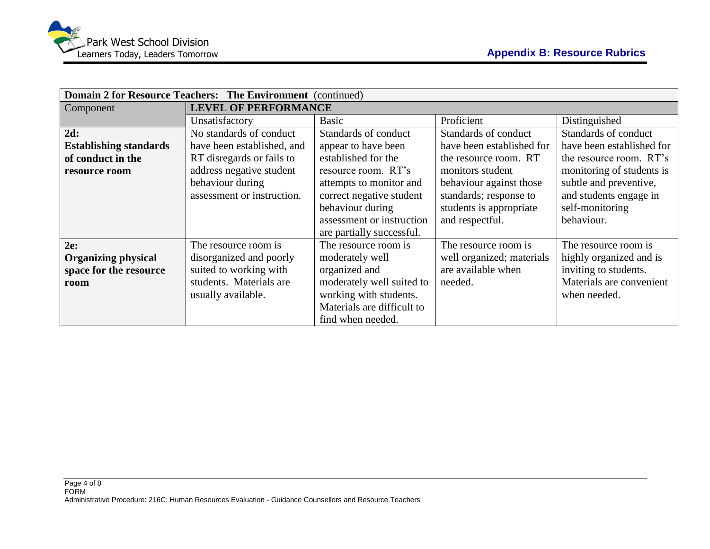| Domain 2 for Resource Teachers: The Environment (continued) |                             |                            |                           |                           |
|-------------------------------------------------------------|-----------------------------|----------------------------|---------------------------|---------------------------|
| Component                                                   | <b>LEVEL OF PERFORMANCE</b> |                            |                           |                           |
|                                                             | Unsatisfactory              | <b>Basic</b>               | Proficient                | Distinguished             |
| 2d:                                                         | No standards of conduct     | Standards of conduct       | Standards of conduct      | Standards of conduct      |
| <b>Establishing standards</b>                               | have been established, and  | appear to have been        | have been established for | have been established for |
| of conduct in the                                           | RT disregards or fails to   | established for the        | the resource room. RT     | the resource room. RT's   |
| resource room                                               | address negative student    | resource room. RT's        | monitors student          | monitoring of students is |
|                                                             | behaviour during            | attempts to monitor and    | behaviour against those   | subtle and preventive,    |
|                                                             | assessment or instruction.  | correct negative student   | standards; response to    | and students engage in    |
|                                                             |                             | behaviour during           | students is appropriate   | self-monitoring           |
|                                                             |                             | assessment or instruction  | and respectful.           | behaviour.                |
|                                                             |                             | are partially successful.  |                           |                           |
| 2e:                                                         | The resource room is        | The resource room is       | The resource room is      | The resource room is      |
| <b>Organizing physical</b>                                  | disorganized and poorly     | moderately well            | well organized; materials | highly organized and is   |
| space for the resource                                      | suited to working with      | organized and              | are available when        | inviting to students.     |
| room                                                        | students. Materials are     | moderately well suited to  | needed.                   | Materials are convenient  |
|                                                             | usually available.          | working with students.     |                           | when needed.              |
|                                                             |                             | Materials are difficult to |                           |                           |
|                                                             |                             | find when needed.          |                           |                           |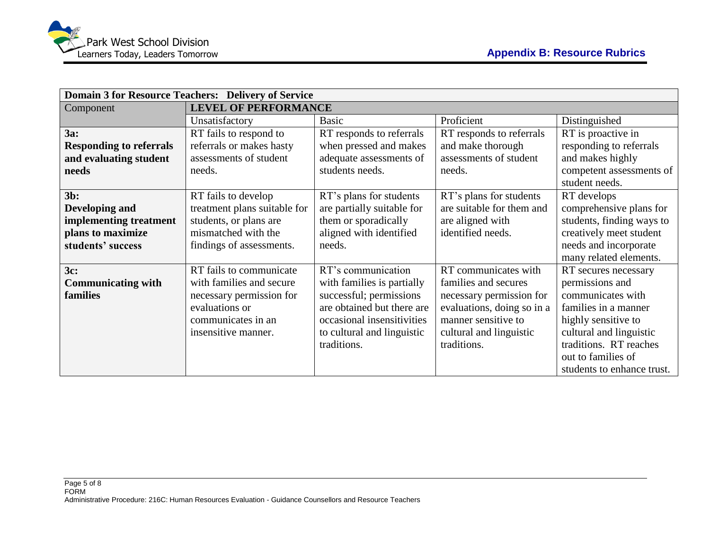| <b>Domain 3 for Resource Teachers: Delivery of Service</b> |                                                                         |                            |                            |                            |  |  |  |  |
|------------------------------------------------------------|-------------------------------------------------------------------------|----------------------------|----------------------------|----------------------------|--|--|--|--|
| Component                                                  | <b>LEVEL OF PERFORMANCE</b>                                             |                            |                            |                            |  |  |  |  |
|                                                            | Unsatisfactory                                                          | <b>Basic</b>               | Proficient                 | Distinguished              |  |  |  |  |
| 3a:                                                        | RT fails to respond to                                                  | RT responds to referrals   | RT responds to referrals   | RT is proactive in         |  |  |  |  |
| <b>Responding to referrals</b>                             | referrals or makes hasty                                                | when pressed and makes     | and make thorough          | responding to referrals    |  |  |  |  |
| and evaluating student                                     | assessments of student                                                  | adequate assessments of    | assessments of student     | and makes highly           |  |  |  |  |
| needs                                                      | needs.                                                                  | students needs.            | needs.                     | competent assessments of   |  |  |  |  |
|                                                            |                                                                         |                            |                            | student needs.             |  |  |  |  |
| $3b$ :                                                     | RT fails to develop                                                     | RT's plans for students    | RT's plans for students    | RT develops                |  |  |  |  |
| Developing and                                             | treatment plans suitable for                                            | are partially suitable for | are suitable for them and  | comprehensive plans for    |  |  |  |  |
| implementing treatment                                     | students, or plans are                                                  | them or sporadically       | are aligned with           | students, finding ways to  |  |  |  |  |
| plans to maximize                                          | mismatched with the                                                     | aligned with identified    | identified needs.          | creatively meet student    |  |  |  |  |
| students' success                                          | findings of assessments.                                                | needs.                     |                            | needs and incorporate      |  |  |  |  |
|                                                            |                                                                         |                            |                            | many related elements.     |  |  |  |  |
| 3c:                                                        | RT fails to communicate                                                 | RT's communication         | RT communicates with       | RT secures necessary       |  |  |  |  |
| <b>Communicating with</b>                                  | with families and secure                                                | with families is partially | families and secures       | permissions and            |  |  |  |  |
| families                                                   | necessary permission for                                                | successful; permissions    | necessary permission for   | communicates with          |  |  |  |  |
|                                                            | evaluations or                                                          | are obtained but there are | evaluations, doing so in a | families in a manner       |  |  |  |  |
|                                                            | occasional insensitivities<br>manner sensitive to<br>communicates in an |                            |                            | highly sensitive to        |  |  |  |  |
|                                                            | insensitive manner.                                                     | to cultural and linguistic | cultural and linguistic    | cultural and linguistic    |  |  |  |  |
|                                                            |                                                                         | traditions.                | traditions.                | traditions. RT reaches     |  |  |  |  |
|                                                            |                                                                         |                            |                            | out to families of         |  |  |  |  |
|                                                            |                                                                         |                            |                            | students to enhance trust. |  |  |  |  |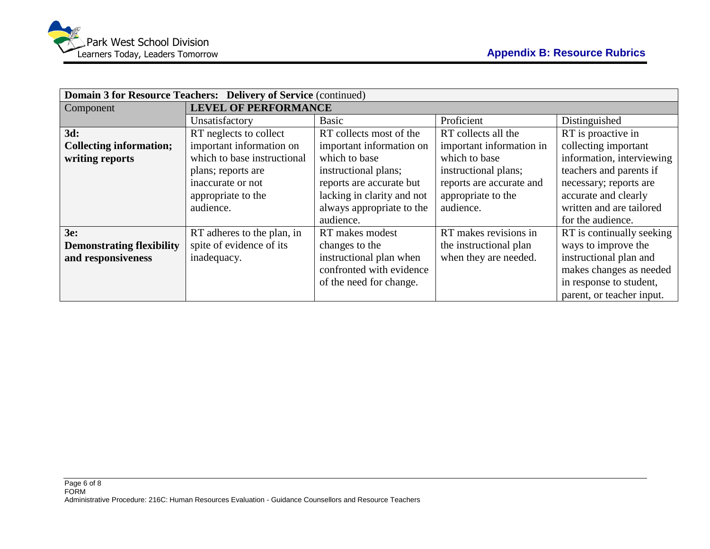|                                  | Domain 3 for Resource Teachers: Delivery of Service (continued) |                            |                          |                           |  |  |  |  |  |
|----------------------------------|-----------------------------------------------------------------|----------------------------|--------------------------|---------------------------|--|--|--|--|--|
| Component                        | <b>LEVEL OF PERFORMANCE</b>                                     |                            |                          |                           |  |  |  |  |  |
|                                  | Unsatisfactory                                                  | <b>Basic</b>               | Proficient               | Distinguished             |  |  |  |  |  |
| 3d:                              | RT neglects to collect                                          | RT collects most of the    | RT collects all the      | RT is proactive in        |  |  |  |  |  |
| <b>Collecting information;</b>   | important information on                                        | important information on   | important information in | collecting important      |  |  |  |  |  |
| writing reports                  | which to base instructional                                     | which to base              | which to base            | information, interviewing |  |  |  |  |  |
|                                  | plans; reports are                                              | instructional plans;       | instructional plans;     | teachers and parents if   |  |  |  |  |  |
|                                  | inaccurate or not                                               | reports are accurate but   | reports are accurate and | necessary; reports are    |  |  |  |  |  |
|                                  | appropriate to the                                              | lacking in clarity and not | appropriate to the       | accurate and clearly      |  |  |  |  |  |
|                                  | audience.                                                       | always appropriate to the  | audience.                | written and are tailored  |  |  |  |  |  |
|                                  |                                                                 | audience.                  |                          | for the audience.         |  |  |  |  |  |
| 3e:                              | RT adheres to the plan, in                                      | RT makes modest            | RT makes revisions in    | RT is continually seeking |  |  |  |  |  |
| <b>Demonstrating flexibility</b> | spite of evidence of its                                        | changes to the             | the instructional plan   | ways to improve the       |  |  |  |  |  |
| and responsiveness               | inadequacy.                                                     | instructional plan when    | when they are needed.    | instructional plan and    |  |  |  |  |  |
|                                  |                                                                 | confronted with evidence   |                          | makes changes as needed   |  |  |  |  |  |
|                                  |                                                                 | of the need for change.    |                          | in response to student,   |  |  |  |  |  |
|                                  |                                                                 |                            |                          | parent, or teacher input. |  |  |  |  |  |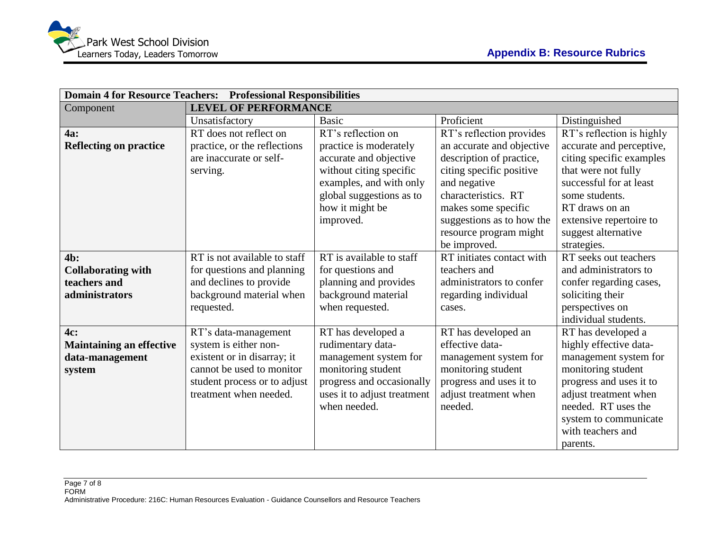| <b>Domain 4 for Resource Teachers: Professional Responsibilities</b>  |                                                                                                                                                                     |                                                                                                                                                                                          |                                                                                                                                                                                                                                                    |                                                                                                                                                                                                                                          |  |  |  |  |
|-----------------------------------------------------------------------|---------------------------------------------------------------------------------------------------------------------------------------------------------------------|------------------------------------------------------------------------------------------------------------------------------------------------------------------------------------------|----------------------------------------------------------------------------------------------------------------------------------------------------------------------------------------------------------------------------------------------------|------------------------------------------------------------------------------------------------------------------------------------------------------------------------------------------------------------------------------------------|--|--|--|--|
| Component                                                             | <b>LEVEL OF PERFORMANCE</b>                                                                                                                                         |                                                                                                                                                                                          |                                                                                                                                                                                                                                                    |                                                                                                                                                                                                                                          |  |  |  |  |
|                                                                       | Unsatisfactory                                                                                                                                                      | <b>Basic</b>                                                                                                                                                                             | Proficient                                                                                                                                                                                                                                         | Distinguished                                                                                                                                                                                                                            |  |  |  |  |
| <b>4a:</b><br><b>Reflecting on practice</b>                           | RT does not reflect on<br>practice, or the reflections<br>are inaccurate or self-<br>serving.                                                                       | RT's reflection on<br>practice is moderately<br>accurate and objective<br>without citing specific<br>examples, and with only<br>global suggestions as to<br>how it might be<br>improved. | RT's reflection provides<br>an accurate and objective<br>description of practice,<br>citing specific positive<br>and negative<br>characteristics. RT<br>makes some specific<br>suggestions as to how the<br>resource program might<br>be improved. | RT's reflection is highly<br>accurate and perceptive,<br>citing specific examples<br>that were not fully<br>successful for at least<br>some students.<br>RT draws on an<br>extensive repertoire to<br>suggest alternative<br>strategies. |  |  |  |  |
| $4b$ :<br><b>Collaborating with</b><br>teachers and<br>administrators | RT is not available to staff<br>for questions and planning<br>and declines to provide<br>background material when<br>requested.                                     | RT is available to staff<br>for questions and<br>planning and provides<br>background material<br>when requested.                                                                         | RT initiates contact with<br>teachers and<br>administrators to confer<br>regarding individual<br>cases.                                                                                                                                            | RT seeks out teachers<br>and administrators to<br>confer regarding cases,<br>soliciting their<br>perspectives on<br>individual students.                                                                                                 |  |  |  |  |
| 4c:<br><b>Maintaining an effective</b><br>data-management<br>system   | RT's data-management<br>system is either non-<br>existent or in disarray; it<br>cannot be used to monitor<br>student process or to adjust<br>treatment when needed. | RT has developed a<br>rudimentary data-<br>management system for<br>monitoring student<br>progress and occasionally<br>uses it to adjust treatment<br>when needed.                       | RT has developed an<br>effective data-<br>management system for<br>monitoring student<br>progress and uses it to<br>adjust treatment when<br>needed.                                                                                               | RT has developed a<br>highly effective data-<br>management system for<br>monitoring student<br>progress and uses it to<br>adjust treatment when<br>needed. RT uses the<br>system to communicate<br>with teachers and<br>parents.         |  |  |  |  |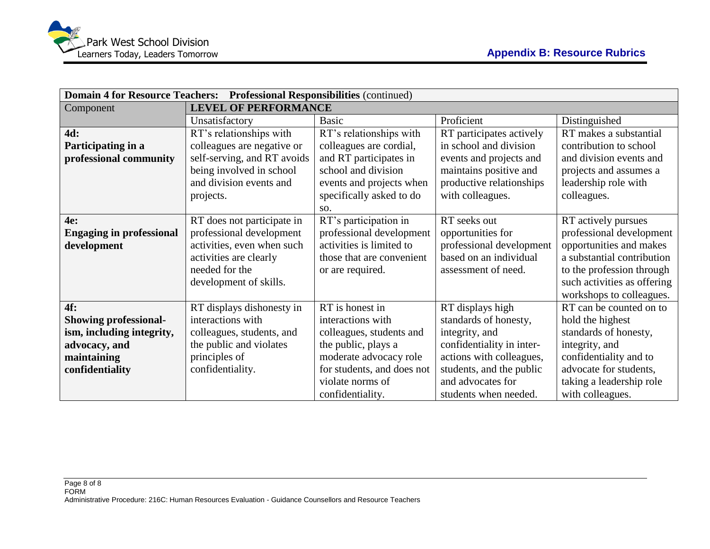| Domain 4 for Resource Teachers: Professional Responsibilities (continued) |                             |                            |                           |                             |  |  |  |  |
|---------------------------------------------------------------------------|-----------------------------|----------------------------|---------------------------|-----------------------------|--|--|--|--|
| Component                                                                 | <b>LEVEL OF PERFORMANCE</b> |                            |                           |                             |  |  |  |  |
|                                                                           | Unsatisfactory              | <b>Basic</b>               | Proficient                | Distinguished               |  |  |  |  |
| 4d:                                                                       | RT's relationships with     | RT's relationships with    | RT participates actively  | RT makes a substantial      |  |  |  |  |
| Participating in a                                                        | colleagues are negative or  | colleagues are cordial,    | in school and division    | contribution to school      |  |  |  |  |
| professional community                                                    | self-serving, and RT avoids | and RT participates in     | events and projects and   | and division events and     |  |  |  |  |
|                                                                           | being involved in school    | school and division        | maintains positive and    | projects and assumes a      |  |  |  |  |
|                                                                           | and division events and     | events and projects when   | productive relationships  | leadership role with        |  |  |  |  |
|                                                                           | projects.                   | specifically asked to do   | with colleagues.          | colleagues.                 |  |  |  |  |
|                                                                           |                             | SO.                        |                           |                             |  |  |  |  |
| 4e:                                                                       | RT does not participate in  | RT's participation in      | RT seeks out              | RT actively pursues         |  |  |  |  |
| <b>Engaging in professional</b>                                           | professional development    | professional development   | opportunities for         | professional development    |  |  |  |  |
| development                                                               | activities, even when such  | activities is limited to   | professional development  | opportunities and makes     |  |  |  |  |
|                                                                           | activities are clearly      | those that are convenient  | based on an individual    | a substantial contribution  |  |  |  |  |
|                                                                           | needed for the              | or are required.           | assessment of need.       | to the profession through   |  |  |  |  |
|                                                                           | development of skills.      |                            |                           | such activities as offering |  |  |  |  |
|                                                                           |                             |                            |                           | workshops to colleagues.    |  |  |  |  |
| 4f:                                                                       | RT displays dishonesty in   | RT is honest in            | RT displays high          | RT can be counted on to     |  |  |  |  |
| <b>Showing professional-</b>                                              | interactions with           | interactions with          | standards of honesty,     | hold the highest            |  |  |  |  |
| ism, including integrity,                                                 | colleagues, students, and   | colleagues, students and   | integrity, and            | standards of honesty,       |  |  |  |  |
| advocacy, and                                                             | the public and violates     | the public, plays a        | confidentiality in inter- | integrity, and              |  |  |  |  |
| maintaining                                                               | principles of               | moderate advocacy role     | actions with colleagues,  | confidentiality and to      |  |  |  |  |
| confidentiality                                                           | confidentiality.            | for students, and does not | students, and the public  | advocate for students,      |  |  |  |  |
|                                                                           |                             | violate norms of           | and advocates for         | taking a leadership role    |  |  |  |  |
|                                                                           |                             | confidentiality.           | students when needed.     | with colleagues.            |  |  |  |  |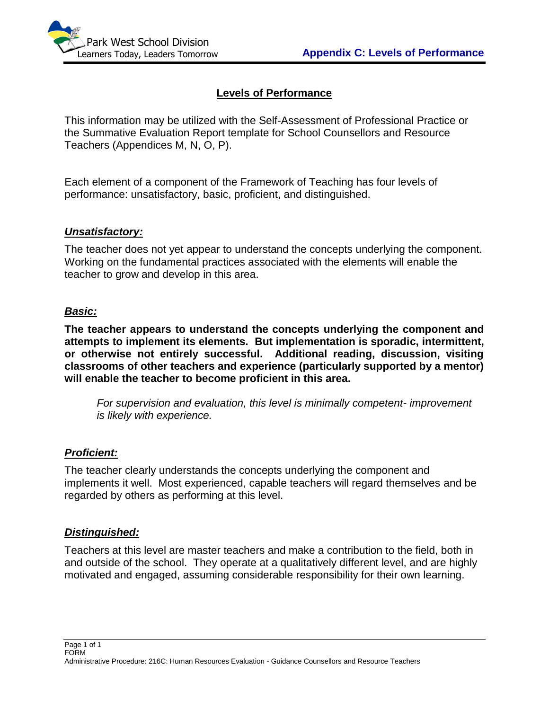

### **Levels of Performance**

This information may be utilized with the Self-Assessment of Professional Practice or the Summative Evaluation Report template for School Counsellors and Resource Teachers (Appendices M, N, O, P).

Each element of a component of the Framework of Teaching has four levels of performance: unsatisfactory, basic, proficient, and distinguished.

#### *Unsatisfactory:*

The teacher does not yet appear to understand the concepts underlying the component. Working on the fundamental practices associated with the elements will enable the teacher to grow and develop in this area.

#### *Basic:*

**The teacher appears to understand the concepts underlying the component and attempts to implement its elements. But implementation is sporadic, intermittent, or otherwise not entirely successful. Additional reading, discussion, visiting classrooms of other teachers and experience (particularly supported by a mentor) will enable the teacher to become proficient in this area.**

*For supervision and evaluation, this level is minimally competent- improvement is likely with experience.*

#### *Proficient:*

The teacher clearly understands the concepts underlying the component and implements it well. Most experienced, capable teachers will regard themselves and be regarded by others as performing at this level.

#### *Distinguished:*

Teachers at this level are master teachers and make a contribution to the field, both in and outside of the school. They operate at a qualitatively different level, and are highly motivated and engaged, assuming considerable responsibility for their own learning.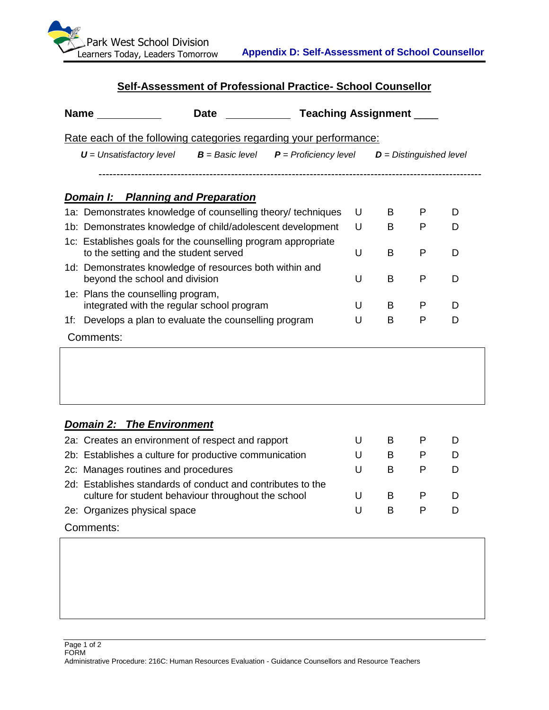

# **Self-Assessment of Professional Practice- School Counsellor**

| <b>Name</b>                                                                                            | <b>Date</b>                               | <b>Teaching Assignment</b> |   |                           |   |   |
|--------------------------------------------------------------------------------------------------------|-------------------------------------------|----------------------------|---|---------------------------|---|---|
| Rate each of the following categories regarding your performance:                                      |                                           |                            |   |                           |   |   |
| $U =$ Unsatisfactory level                                                                             | $B =$ Basic level $P =$ Proficiency level |                            |   | $D =$ Distinguished level |   |   |
|                                                                                                        |                                           |                            |   |                           |   |   |
| <b>Domain I: Planning and Preparation</b>                                                              |                                           |                            |   |                           |   |   |
| 1a: Demonstrates knowledge of counselling theory/ techniques                                           |                                           |                            | U | B                         | P | D |
| 1b: Demonstrates knowledge of child/adolescent development                                             |                                           |                            | U | B                         | P | D |
| 1c: Establishes goals for the counselling program appropriate<br>to the setting and the student served |                                           |                            | U | B                         | P | D |
| 1d: Demonstrates knowledge of resources both within and<br>beyond the school and division              |                                           |                            | U | B                         | P | D |
| 1e: Plans the counselling program,<br>integrated with the regular school program                       |                                           |                            | U | B                         | P | D |
| Develops a plan to evaluate the counselling program<br>1f:                                             |                                           |                            | U | B                         | P | D |
| Comments:                                                                                              |                                           |                            |   |                           |   |   |

#### *Domain 2: The Environment*

| 2a: Creates an environment of respect and rapport                                                                  |   |   |   |   |
|--------------------------------------------------------------------------------------------------------------------|---|---|---|---|
| 2b: Establishes a culture for productive communication                                                             |   | В | P | D |
| 2c: Manages routines and procedures                                                                                | U |   |   |   |
| 2d: Establishes standards of conduct and contributes to the<br>culture for student behaviour throughout the school |   | В |   | D |
| 2e: Organizes physical space                                                                                       | U | в |   |   |
| Comments:                                                                                                          |   |   |   |   |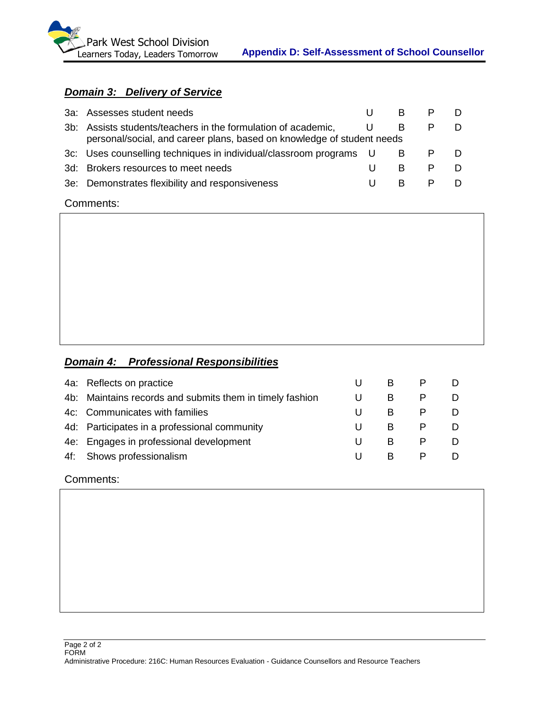

# *Domain 3: Delivery of Service*

| 3a: Assesses student needs                                    |                                                                    |                                                                        |  |
|---------------------------------------------------------------|--------------------------------------------------------------------|------------------------------------------------------------------------|--|
| 3b: Assists students/teachers in the formulation of academic, |                                                                    |                                                                        |  |
|                                                               |                                                                    |                                                                        |  |
|                                                               |                                                                    |                                                                        |  |
| 3d: Brokers resources to meet needs                           | в                                                                  |                                                                        |  |
| 3e: Demonstrates flexibility and responsiveness               | R                                                                  |                                                                        |  |
|                                                               | 3c: Uses counselling techniques in individual/classroom programs U | personal/social, and career plans, based on knowledge of student needs |  |

Comments:

# *Domain 4: Professional Responsibilities*

| 4a: Reflects on practice                                 | B. |  |
|----------------------------------------------------------|----|--|
| 4b: Maintains records and submits them in timely fashion | B  |  |
| 4c: Communicates with families                           | B  |  |
| 4d: Participates in a professional community             | B. |  |
| 4e: Engages in professional development                  | B  |  |
| 4f: Shows professionalism                                | B. |  |
|                                                          |    |  |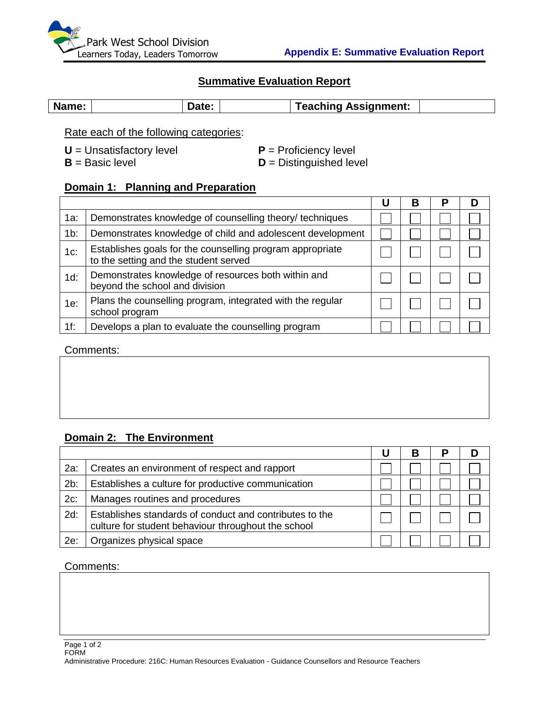

#### **Summative Evaluation Report**

| Name: |  | Date: |  | Teaching Assignment: |  |
|-------|--|-------|--|----------------------|--|
|-------|--|-------|--|----------------------|--|

Rate each of the following categories:

**U** = Unsatisfactory level **P** = Proficiency level

 $B =$  Basic level **D** = Distinguished level

#### **Domain 1: Planning and Preparation**

|        |                                                                                                    | в | $\overline{\phantom{a}}$ |  |
|--------|----------------------------------------------------------------------------------------------------|---|--------------------------|--|
| 1a:    | Demonstrates knowledge of counselling theory/ techniques                                           |   |                          |  |
| $1b$ : | Demonstrates knowledge of child and adolescent development                                         |   |                          |  |
| $1c$ : | Establishes goals for the counselling program appropriate<br>to the setting and the student served |   |                          |  |
| $1d$ : | Demonstrates knowledge of resources both within and<br>beyond the school and division              |   |                          |  |
| 1e:    | Plans the counselling program, integrated with the regular<br>school program                       |   |                          |  |
| $1f$ : | Develops a plan to evaluate the counselling program                                                |   |                          |  |

#### Comments:

### **Domain 2: The Environment**

|        |                                                                                                                | В |  |
|--------|----------------------------------------------------------------------------------------------------------------|---|--|
| 2a:    | Creates an environment of respect and rapport                                                                  |   |  |
| 2b:    | Establishes a culture for productive communication                                                             |   |  |
| $2c$ : | Manages routines and procedures                                                                                |   |  |
| $2d$ : | Establishes standards of conduct and contributes to the<br>culture for student behaviour throughout the school |   |  |
| 2e:    | Organizes physical space                                                                                       |   |  |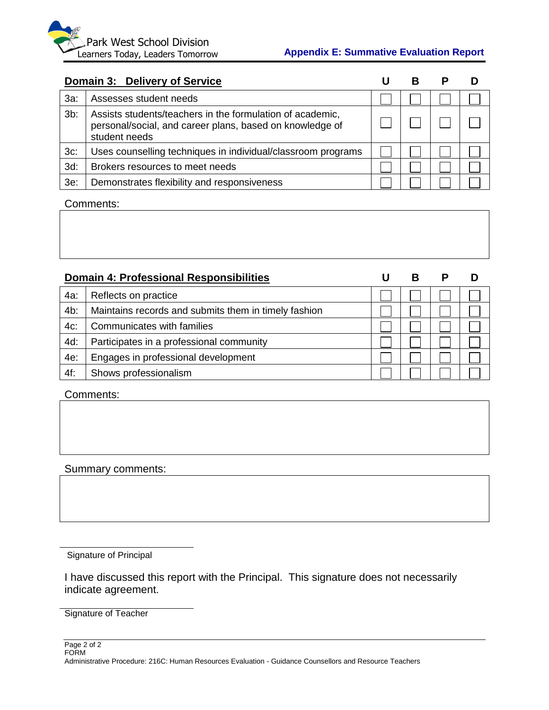#### **Appendix E: Summative Evaluation Report**

|        | Domain 3: Delivery of Service                                                                                                          |  |  |
|--------|----------------------------------------------------------------------------------------------------------------------------------------|--|--|
| $3a$ : | Assesses student needs                                                                                                                 |  |  |
| $3b$ : | Assists students/teachers in the formulation of academic,<br>personal/social, and career plans, based on knowledge of<br>student needs |  |  |
| $3c$ : | Uses counselling techniques in individual/classroom programs                                                                           |  |  |
| $3d$ : | Brokers resources to meet needs                                                                                                        |  |  |
| $3e$ : | Demonstrates flexibility and responsiveness                                                                                            |  |  |

# Comments:

|        | <b>Domain 4: Professional Responsibilities</b>       |  | В |  |
|--------|------------------------------------------------------|--|---|--|
| 4a:    | Reflects on practice                                 |  |   |  |
| 4b:    | Maintains records and submits them in timely fashion |  |   |  |
| $4c$ : | Communicates with families                           |  |   |  |
| 4d:    | Participates in a professional community             |  |   |  |
| 4e:    | Engages in professional development                  |  |   |  |
| 4f:    | Shows professionalism                                |  |   |  |

#### Comments:

#### Summary comments:

Signature of Principal

I have discussed this report with the Principal. This signature does not necessarily indicate agreement.

Signature of Teacher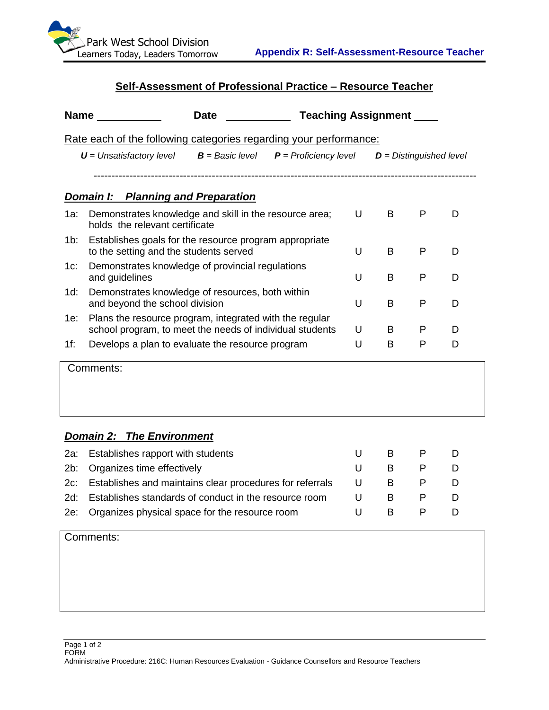

# **Self-Assessment of Professional Practice – Resource Teacher**

| Name |                                                                                                                     | Date | <b>Teaching Assignment</b> |   |                           |   |   |  |  |
|------|---------------------------------------------------------------------------------------------------------------------|------|----------------------------|---|---------------------------|---|---|--|--|
|      | Rate each of the following categories regarding your performance:                                                   |      |                            |   |                           |   |   |  |  |
|      | $U =$ Unsatisfactory level $B =$ Basic level $P =$ Proficiency level                                                |      |                            |   | $D = Distinguished level$ |   |   |  |  |
|      |                                                                                                                     |      |                            |   |                           |   |   |  |  |
|      | <b>Domain I: Planning and Preparation</b>                                                                           |      |                            |   |                           |   |   |  |  |
| 1a:  | Demonstrates knowledge and skill in the resource area;<br>holds the relevant certificate                            |      |                            | U | B                         | P | D |  |  |
| 1b:  | Establishes goals for the resource program appropriate<br>to the setting and the students served                    |      |                            | U | B                         | P | D |  |  |
| 1c:  | Demonstrates knowledge of provincial regulations<br>and guidelines                                                  |      |                            | U | B                         | P | D |  |  |
| 1d:  | Demonstrates knowledge of resources, both within<br>and beyond the school division                                  |      |                            | U | B                         | P | D |  |  |
| 1e:  | Plans the resource program, integrated with the regular<br>school program, to meet the needs of individual students |      |                            | U | B                         | P | D |  |  |
| 1f:  | Develops a plan to evaluate the resource program                                                                    |      |                            | U | B                         | P | D |  |  |
|      | Comments:                                                                                                           |      |                            |   |                           |   |   |  |  |

# *Domain 2: The Environment*

| 2a: Establishes rapport with students                        |   | в  |   |  |
|--------------------------------------------------------------|---|----|---|--|
| 2b: Organizes time effectively                               |   | B. | P |  |
| 2c: Establishes and maintains clear procedures for referrals | U | B. |   |  |
| 2d: Establishes standards of conduct in the resource room    |   | в  |   |  |
| 2e: Organizes physical space for the resource room           |   | B. | P |  |
|                                                              |   |    |   |  |

| Comments: |
|-----------|
|-----------|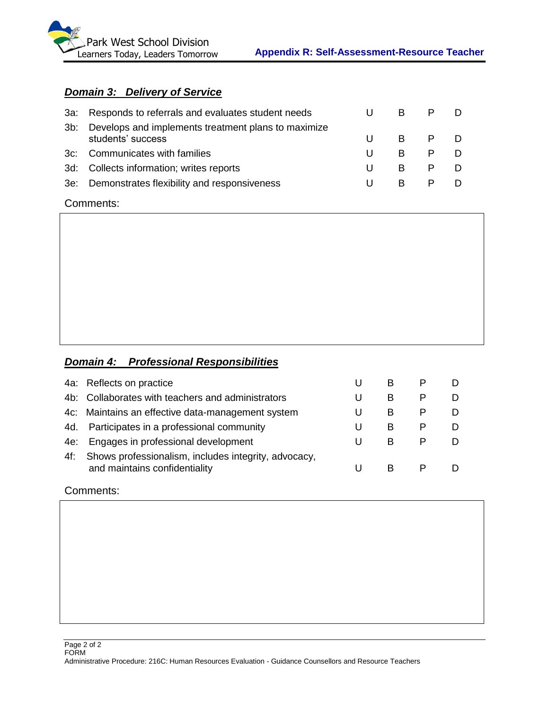

# *Domain 3: Delivery of Service*

|     | 3a: Responds to referrals and evaluates student needs                    | B            |   |  |
|-----|--------------------------------------------------------------------------|--------------|---|--|
| 3b: | Develops and implements treatment plans to maximize<br>students' success | B.           | P |  |
|     | 3c: Communicates with families                                           | <sub>R</sub> | P |  |
|     | 3d: Collects information; writes reports                                 | <sub>R</sub> |   |  |
|     | 3e: Demonstrates flexibility and responsiveness                          | в            |   |  |

#### Comments:

 $\overline{1}$ 

# *Domain 4: Professional Responsibilities*

|     | 4a: Reflects on practice                                                              |   | в |  |
|-----|---------------------------------------------------------------------------------------|---|---|--|
|     | 4b: Collaborates with teachers and administrators                                     |   | В |  |
|     | 4c: Maintains an effective data-management system                                     |   | В |  |
|     | 4d. Participates in a professional community                                          |   | B |  |
| 4e: | Engages in professional development                                                   | U | в |  |
| 4f: | Shows professionalism, includes integrity, advocacy,<br>and maintains confidentiality |   |   |  |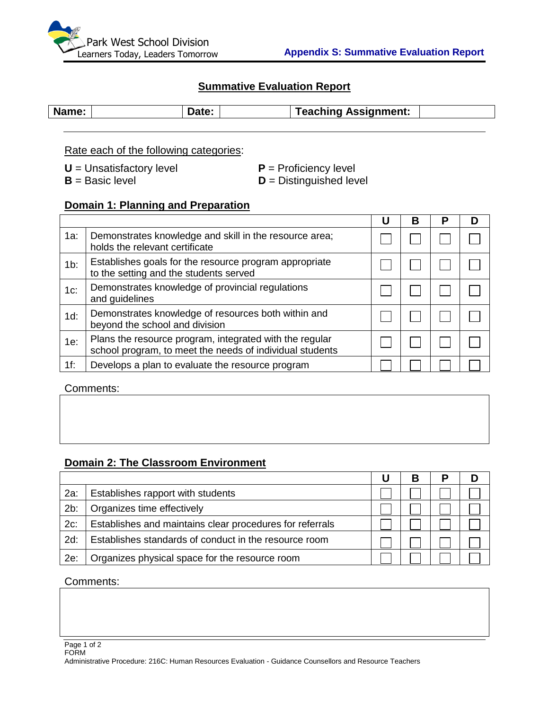

# **Summative Evaluation Report**

| Name: |  | <b>Teaching Assignment:</b> |  |
|-------|--|-----------------------------|--|
|       |  |                             |  |

Rate each of the following categories:

**U** = Unsatisfactory level **P** = Proficiency level<br> **B** = Basic level **D** = Distinguished level

**D** = Distinguished level

# **Domain 1: Planning and Preparation**

|        |                                                                                                                     | U | в | Р |  |
|--------|---------------------------------------------------------------------------------------------------------------------|---|---|---|--|
| $1a$ : | Demonstrates knowledge and skill in the resource area;<br>holds the relevant certificate                            |   |   |   |  |
| $1b$ : | Establishes goals for the resource program appropriate<br>to the setting and the students served                    |   |   |   |  |
| $1c$ : | Demonstrates knowledge of provincial regulations<br>and guidelines                                                  |   |   |   |  |
| $1d$ : | Demonstrates knowledge of resources both within and<br>beyond the school and division                               |   |   |   |  |
| 1e:    | Plans the resource program, integrated with the regular<br>school program, to meet the needs of individual students |   |   |   |  |
| $1f$ : | Develops a plan to evaluate the resource program                                                                    |   |   |   |  |

Comments:

# **Domain 2: The Classroom Environment**

|        |                                                          | B |  |
|--------|----------------------------------------------------------|---|--|
| 2a:    | Establishes rapport with students                        |   |  |
| 2b:    | Organizes time effectively                               |   |  |
| $2c$ : | Establishes and maintains clear procedures for referrals |   |  |
| $2d$ : | Establishes standards of conduct in the resource room    |   |  |
| 2e:    | Organizes physical space for the resource room           |   |  |